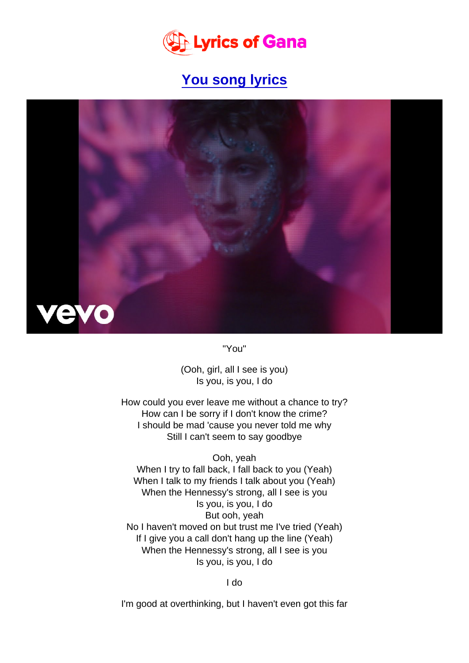[You song lyrics](https://www.lyricsofgana.com/you-song-lyrics)

"You"

(Ooh, girl, all I see is you) Is you, is you, I do

How could you ever leave me without a chance to try? How can I be sorry if I don't know the crime? I should be mad 'cause you never told me why Still I can't seem to say goodbye

Ooh, yeah When I try to fall back, I fall back to you (Yeah) When I talk to my friends I talk about you (Yeah) When the Hennessy's strong, all I see is you Is you, is you, I do But ooh, yeah No I haven't moved on but trust me I've tried (Yeah) If I give you a call don't hang up the line (Yeah) When the Hennessy's strong, all I see is you Is you, is you, I do

I do

I'm good at overthinking, but I haven't even got this far